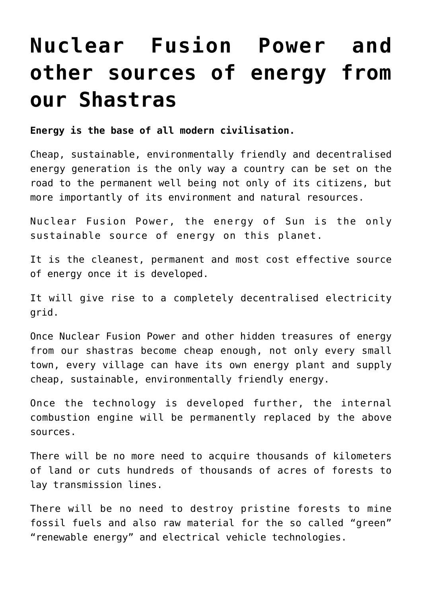## **[Nuclear Fusion Power and](https://aryadharma.world/articles/nuclear-fusion-the-energy-of-sun/) [other sources of energy from](https://aryadharma.world/articles/nuclear-fusion-the-energy-of-sun/) [our Shastras](https://aryadharma.world/articles/nuclear-fusion-the-energy-of-sun/)**

**Energy is the base of all modern civilisation.** 

Cheap, sustainable, environmentally friendly and decentralised energy generation is the only way a country can be set on the road to the permanent well being not only of its citizens, but more importantly of its environment and natural resources.

[Nuclear Fusion Power,](http://en.wikipedia.org/wiki/Fusion_power) the energy of Sun is the only sustainable source of energy on this planet.

It is the cleanest, permanent and most cost effective source of energy once it is developed.

It will give rise to a completely decentralised electricity grid.

Once [Nuclear Fusion Power](http://en.wikipedia.org/wiki/Fusion_power) and other [hidden treasures of energy](http://www.agragami.in/index-8.html) from our shastras become cheap enough, not only every small town, every village can have its own energy plant and supply cheap, sustainable, environmentally friendly energy.

Once the technology is developed further, the internal combustion engine will be permanently replaced by the above sources.

There will be no more need to acquire thousands of kilometers of land or cuts hundreds of thousands of acres of forests to lay transmission lines.

There will be no need to destroy pristine forests to mine fossil fuels and also raw material for the so called "green" "renewable energy" and electrical vehicle technologies.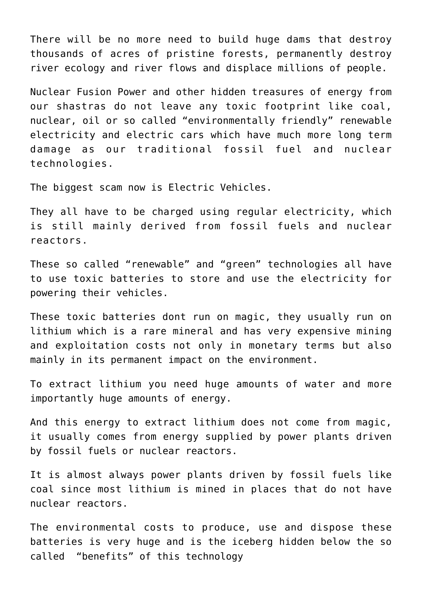There will be no more need to build huge dams that destroy thousands of acres of pristine forests, permanently destroy river ecology and river flows and displace millions of people.

[Nuclear Fusion Power](http://en.wikipedia.org/wiki/Fusion_power) and other [hidden treasures of energy](http://www.agragami.in/index-8.html) from our shastras do not leave any toxic footprint like coal, nuclear, oil or so called "environmentally friendly" renewable electricity and electric cars which have much more long term damage as our traditional fossil fuel and nuclear technologies.

The biggest scam now is [Electric Vehicles.](https://en.wikipedia.org/wiki/Electric_vehicle)

They all have to be charged using regular electricity, which is still mainly derived from fossil fuels and nuclear reactors.

These so called "renewable" and "green" technologies all have to use toxic batteries to store and use the electricity for powering their vehicles.

These toxic batteries dont run on magic, they usually run on [lithium](https://en.wikipedia.org/wiki/Lithium#Electrical_and_electronics) which is a rare mineral and has very expensive mining and exploitation costs not only in monetary terms but also mainly in its permanent impact on the environment.

To extract [lithium](https://en.wikipedia.org/wiki/Lithium#Electrical_and_electronics) you need huge amounts of water and more importantly huge amounts of energy.

And this energy to extract lithium does not come from magic, it usually comes from energy supplied by power plants driven by fossil fuels or nuclear reactors.

It is almost always power plants driven by fossil fuels like coal since most [lithium](https://en.wikipedia.org/wiki/Lithium#Electrical_and_electronics) is mined in places that do not have nuclear reactors.

The environmental costs to produce, use and dispose these batteries is very huge and is the iceberg hidden below the so called "benefits" of this technology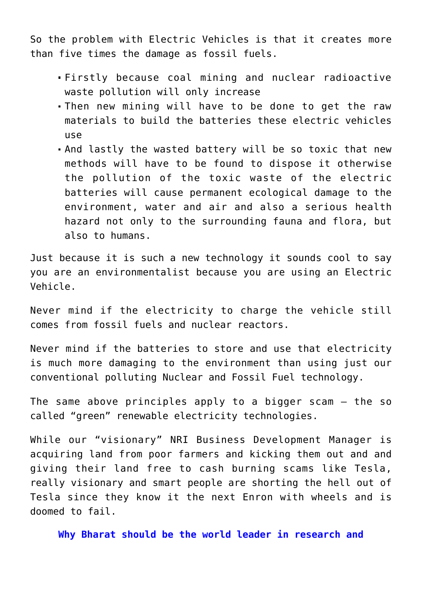So the problem with Electric Vehicles is that it creates more than five times the damage as fossil fuels.

- Firstly because coal mining and nuclear radioactive waste pollution will only increase
- Then new mining will have to be done to get the raw materials to build the batteries these electric vehicles use
- And lastly the wasted battery will be so toxic that new methods will have to be found to dispose it otherwise the pollution of the toxic waste of the electric batteries will cause permanent ecological damage to the environment, water and air and also a serious health hazard not only to the surrounding fauna and flora, but also to humans.

Just because it is such a new technology it sounds cool to say you are an environmentalist because you are using an Electric Vehicle.

Never mind if the electricity to charge the vehicle still comes from fossil fuels and nuclear reactors.

Never mind if the batteries to store and use that electricity is much more damaging to the environment than using just our conventional polluting Nuclear and Fossil Fuel technology.

The same above principles apply to a bigger scam – the so called "green" renewable electricity technologies.

While our "visionary" [NRI Business Development Manager](http://aryadharma.world/bharat/the-magic-of-the-nri-business-development-manager) is acquiring land from poor farmers and kicking them out and and giving their land free to [cash burning scams](https://seekingalpha.com/symbol/TSLA) like [Tesla,](https://en.wikipedia.org/wiki/Tesla,_Inc.) really [visionary and smart people](https://seekingalpha.com/article/4124656-tesla-energy-still-deep-red) are [shorting the hell](https://en.wikipedia.org/wiki/Short_(finance)) out of [Tesla](https://en.wikipedia.org/wiki/Tesla,_Inc.) since they know it the next [Enron](https://en.wikipedia.org/wiki/Enron) with wheels and is doomed to fail.

**Why Bharat should be the world leader in research and**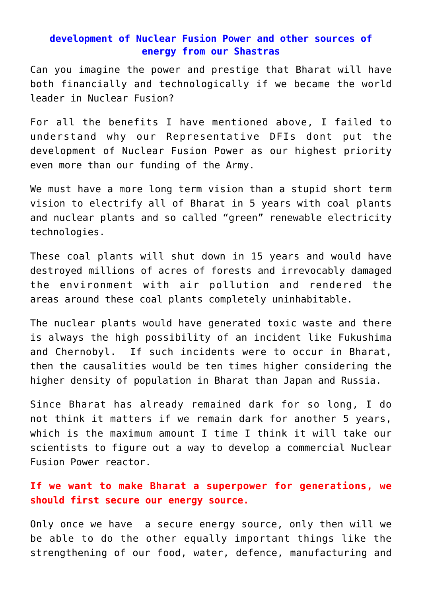## **development of Nuclear Fusion Power and other sources of energy from our Shastras**

Can you imagine the power and prestige that Bharat will have both financially and technologically if we became the world leader in Nuclear Fusion?

For all the benefits I have mentioned above, I failed to understand why our [Representative DFIs](http://aryadharma.world/fukus/repsofpeople/) dont put the development of Nuclear Fusion Power as our highest priority even more than our funding of the Army.

We must have a more long term vision than a stupid short term vision to electrify all of Bharat in 5 years with coal plants and nuclear plants and so called "green" renewable electricity technologies.

These coal plants will shut down in 15 years and would have destroyed millions of acres of forests and irrevocably damaged the environment with air pollution and rendered the areas around these coal plants completely uninhabitable.

The nuclear plants would have generated toxic waste and there is always the high possibility of an incident like [Fukushima](https://en.wikipedia.org/wiki/Fukushima_Daiichi_nuclear_disaster) and [Chernobyl.](https://en.wikipedia.org/wiki/Chernobyl_disaster) If such incidents were to occur in Bharat, then the causalities would be ten times higher considering the higher density of population in Bharat than Japan and Russia.

Since [Bharat](https://aryadharma.world/bharat/) has already remained dark for so long, I do not think it matters if we remain dark for another 5 years, which is the maximum amount I time I think it will take our scientists to figure out a way to develop a commercial Nuclear Fusion Power reactor.

## **If we want to make Bharat a superpower for generations, we should first secure our energy source.**

Only once we have a secure energy source, only then will we be able to do the other equally important things like the strengthening of our food, water, defence, manufacturing and